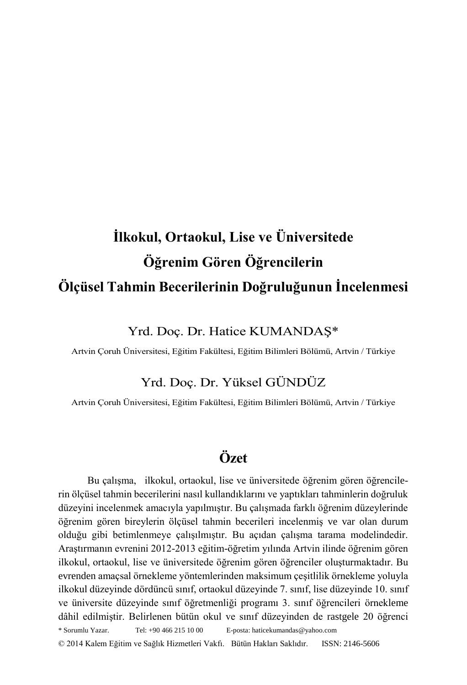# **İlkokul, Ortaokul, Lise ve Üniversitede Öğrenim Gören Öğrencilerin Ölçüsel Tahmin Becerilerinin Doğruluğunun İncelenmesi**

# Yrd. Doç. Dr. Hatice KUMANDAŞ\*

Artvin Çoruh Üniversitesi, Eğitim Fakültesi, Eğitim Bilimleri Bölümü, Artvin / Türkiye

# Yrd. Doç. Dr. Yüksel GÜNDÜZ

Artvin Çoruh Üniversitesi, Eğitim Fakültesi, Eğitim Bilimleri Bölümü, Artvin / Türkiye

# **Özet**

\* Sorumlu Yazar. Tel: +90 466 215 10 00 E-posta: haticekumandas@yahoo.com © 2014 Kalem Eğitim ve Sağlık Hizmetleri Vakfı. Bütün Hakları Saklıdır. ISSN: 2146-5606 Bu çalışma, ilkokul, ortaokul, lise ve üniversitede öğrenim gören öğrencilerin ölçüsel tahmin becerilerini nasıl kullandıklarını ve yaptıkları tahminlerin doğruluk düzeyini incelenmek amacıyla yapılmıştır. Bu çalışmada farklı öğrenim düzeylerinde öğrenim gören bireylerin ölçüsel tahmin becerileri incelenmiş ve var olan durum olduğu gibi betimlenmeye çalışılmıştır. Bu açıdan çalışma tarama modelindedir. Araştırmanın evrenini 2012-2013 eğitim-öğretim yılında Artvin ilinde öğrenim gören ilkokul, ortaokul, lise ve üniversitede öğrenim gören öğrenciler oluşturmaktadır. Bu evrenden amaçsal örnekleme yöntemlerinden maksimum çeşitlilik örnekleme yoluyla ilkokul düzeyinde dördüncü sınıf, ortaokul düzeyinde 7. sınıf, lise düzeyinde 10. sınıf ve üniversite düzeyinde sınıf öğretmenliği programı 3. sınıf öğrencileri örnekleme dâhil edilmiştir. Belirlenen bütün okul ve sınıf düzeyinden de rastgele 20 öğrenci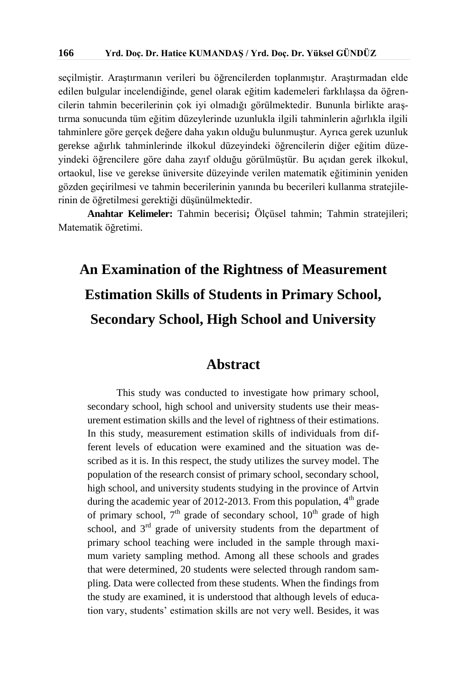seçilmiştir. Araştırmanın verileri bu öğrencilerden toplanmıştır. Araştırmadan elde edilen bulgular incelendiğinde, genel olarak eğitim kademeleri farklılaşsa da öğrencilerin tahmin becerilerinin çok iyi olmadığı görülmektedir. Bununla birlikte araştırma sonucunda tüm eğitim düzeylerinde uzunlukla ilgili tahminlerin ağırlıkla ilgili tahminlere göre gerçek değere daha yakın olduğu bulunmuştur. Ayrıca gerek uzunluk gerekse ağırlık tahminlerinde ilkokul düzeyindeki öğrencilerin diğer eğitim düzeyindeki öğrencilere göre daha zayıf olduğu görülmüştür. Bu açıdan gerek ilkokul, ortaokul, lise ve gerekse üniversite düzeyinde verilen matematik eğitiminin yeniden gözden geçirilmesi ve tahmin becerilerinin yanında bu becerileri kullanma stratejilerinin de öğretilmesi gerektiği düşünülmektedir.

**Anahtar Kelimeler:** Tahmin becerisi**;** Ölçüsel tahmin; Tahmin stratejileri; Matematik öğretimi.

# **An Examination of the Rightness of Measurement Estimation Skills of Students in Primary School, Secondary School, High School and University**

# **Abstract**

This study was conducted to investigate how primary school, secondary school, high school and university students use their measurement estimation skills and the level of rightness of their estimations. In this study, measurement estimation skills of individuals from different levels of education were examined and the situation was described as it is. In this respect, the study utilizes the survey model. The population of the research consist of primary school, secondary school, high school, and university students studying in the province of Artvin during the academic year of 2012-2013. From this population,  $4<sup>th</sup>$  grade of primary school,  $7<sup>th</sup>$  grade of secondary school,  $10<sup>th</sup>$  grade of high school, and  $3<sup>rd</sup>$  grade of university students from the department of primary school teaching were included in the sample through maximum variety sampling method. Among all these schools and grades that were determined, 20 students were selected through random sampling. Data were collected from these students. When the findings from the study are examined, it is understood that although levels of education vary, students' estimation skills are not very well. Besides, it was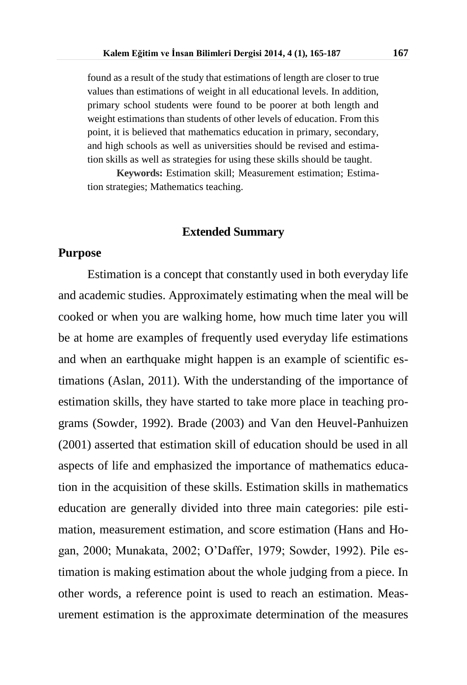found as a result of the study that estimations of length are closer to true values than estimations of weight in all educational levels. In addition, primary school students were found to be poorer at both length and weight estimations than students of other levels of education. From this point, it is believed that mathematics education in primary, secondary, and high schools as well as universities should be revised and estimation skills as well as strategies for using these skills should be taught.

**Keywords:** Estimation skill; Measurement estimation; Estimation strategies; Mathematics teaching.

#### **Extended Summary**

### **Purpose**

Estimation is a concept that constantly used in both everyday life and academic studies. Approximately estimating when the meal will be cooked or when you are walking home, how much time later you will be at home are examples of frequently used everyday life estimations and when an earthquake might happen is an example of scientific estimations (Aslan, 2011). With the understanding of the importance of estimation skills, they have started to take more place in teaching programs (Sowder, 1992). Brade (2003) and Van den Heuvel-Panhuizen (2001) asserted that estimation skill of education should be used in all aspects of life and emphasized the importance of mathematics education in the acquisition of these skills. Estimation skills in mathematics education are generally divided into three main categories: pile estimation, measurement estimation, and score estimation (Hans and Hogan, 2000; Munakata, 2002; O'Daffer, 1979; Sowder, 1992). Pile estimation is making estimation about the whole judging from a piece. In other words, a reference point is used to reach an estimation. Measurement estimation is the approximate determination of the measures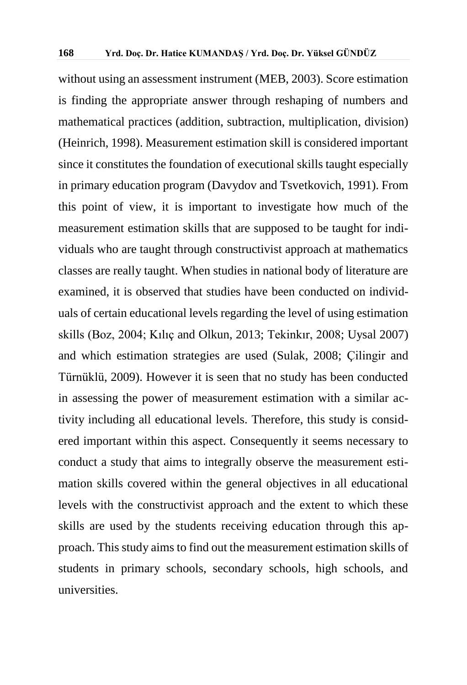without using an assessment instrument (MEB, 2003). Score estimation is finding the appropriate answer through reshaping of numbers and mathematical practices (addition, subtraction, multiplication, division) (Heinrich, 1998). Measurement estimation skill is considered important since it constitutes the foundation of executional skills taught especially in primary education program (Davydov and Tsvetkovich, 1991). From this point of view, it is important to investigate how much of the measurement estimation skills that are supposed to be taught for individuals who are taught through constructivist approach at mathematics classes are really taught. When studies in national body of literature are examined, it is observed that studies have been conducted on individuals of certain educational levels regarding the level of using estimation skills (Boz, 2004; Kılıç and Olkun, 2013; Tekinkır, 2008; Uysal 2007) and which estimation strategies are used (Sulak, 2008; Çilingir and Türnüklü, 2009). However it is seen that no study has been conducted in assessing the power of measurement estimation with a similar activity including all educational levels. Therefore, this study is considered important within this aspect. Consequently it seems necessary to conduct a study that aims to integrally observe the measurement estimation skills covered within the general objectives in all educational levels with the constructivist approach and the extent to which these skills are used by the students receiving education through this approach. This study aims to find out the measurement estimation skills of students in primary schools, secondary schools, high schools, and universities.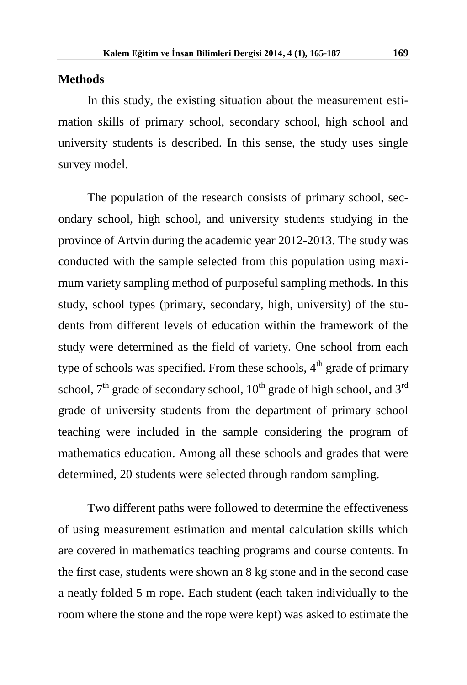#### **Methods**

In this study, the existing situation about the measurement estimation skills of primary school, secondary school, high school and university students is described. In this sense, the study uses single survey model.

The population of the research consists of primary school, secondary school, high school, and university students studying in the province of Artvin during the academic year 2012-2013. The study was conducted with the sample selected from this population using maximum variety sampling method of purposeful sampling methods. In this study, school types (primary, secondary, high, university) of the students from different levels of education within the framework of the study were determined as the field of variety. One school from each type of schools was specified. From these schools,  $4<sup>th</sup>$  grade of primary school,  $7<sup>th</sup>$  grade of secondary school,  $10<sup>th</sup>$  grade of high school, and  $3<sup>rd</sup>$ grade of university students from the department of primary school teaching were included in the sample considering the program of mathematics education. Among all these schools and grades that were determined, 20 students were selected through random sampling.

Two different paths were followed to determine the effectiveness of using measurement estimation and mental calculation skills which are covered in mathematics teaching programs and course contents. In the first case, students were shown an 8 kg stone and in the second case a neatly folded 5 m rope. Each student (each taken individually to the room where the stone and the rope were kept) was asked to estimate the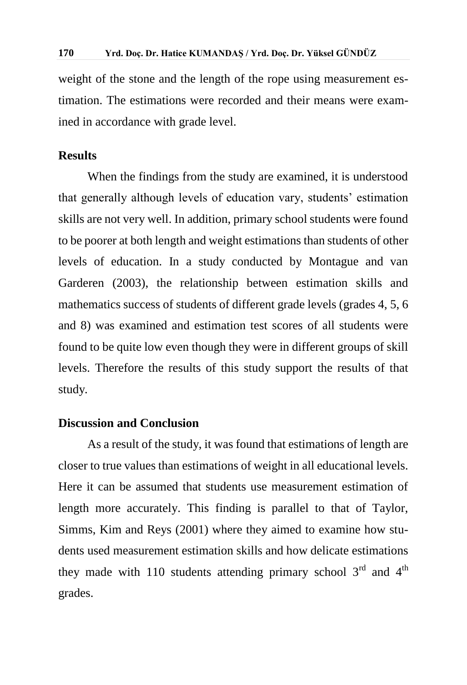weight of the stone and the length of the rope using measurement estimation. The estimations were recorded and their means were examined in accordance with grade level.

### **Results**

When the findings from the study are examined, it is understood that generally although levels of education vary, students' estimation skills are not very well. In addition, primary school students were found to be poorer at both length and weight estimations than students of other levels of education. In a study conducted by Montague and van Garderen (2003), the relationship between estimation skills and mathematics success of students of different grade levels (grades 4, 5, 6 and 8) was examined and estimation test scores of all students were found to be quite low even though they were in different groups of skill levels. Therefore the results of this study support the results of that study*.*

#### **Discussion and Conclusion**

As a result of the study, it was found that estimations of length are closer to true values than estimations of weight in all educational levels. Here it can be assumed that students use measurement estimation of length more accurately. This finding is parallel to that of Taylor, Simms, Kim and Reys (2001) where they aimed to examine how students used measurement estimation skills and how delicate estimations they made with 110 students attending primary school  $3<sup>rd</sup>$  and  $4<sup>th</sup>$ grades.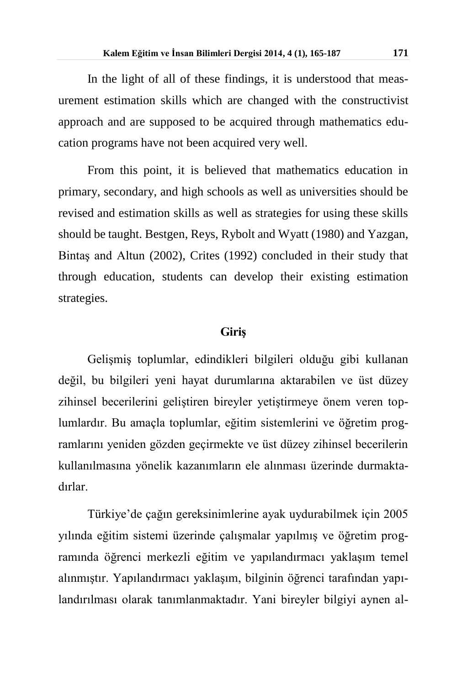In the light of all of these findings, it is understood that measurement estimation skills which are changed with the constructivist approach and are supposed to be acquired through mathematics education programs have not been acquired very well.

From this point, it is believed that mathematics education in primary, secondary, and high schools as well as universities should be revised and estimation skills as well as strategies for using these skills should be taught. Bestgen, Reys, Rybolt and Wyatt (1980) and Yazgan, Bintaş and Altun (2002), Crites (1992) concluded in their study that through education, students can develop their existing estimation strategies.

#### **Giriş**

Gelişmiş toplumlar, edindikleri bilgileri olduğu gibi kullanan değil, bu bilgileri yeni hayat durumlarına aktarabilen ve üst düzey zihinsel becerilerini geliştiren bireyler yetiştirmeye önem veren toplumlardır. Bu amaçla toplumlar, eğitim sistemlerini ve öğretim programlarını yeniden gözden geçirmekte ve üst düzey zihinsel becerilerin kullanılmasına yönelik kazanımların ele alınması üzerinde durmaktadırlar.

Türkiye'de çağın gereksinimlerine ayak uydurabilmek için 2005 yılında eğitim sistemi üzerinde çalışmalar yapılmış ve öğretim programında öğrenci merkezli eğitim ve yapılandırmacı yaklaşım temel alınmıştır. Yapılandırmacı yaklaşım, bilginin öğrenci tarafından yapılandırılması olarak tanımlanmaktadır. Yani bireyler bilgiyi aynen al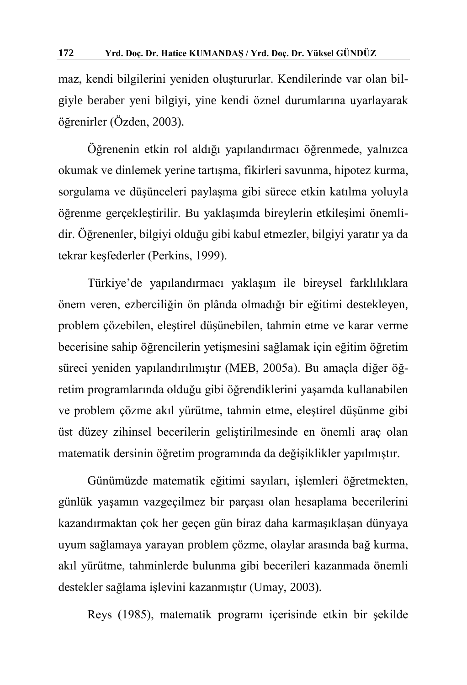maz, kendi bilgilerini yeniden oluştururlar. Kendilerinde var olan bilgiyle beraber yeni bilgiyi, yine kendi öznel durumlarına uyarlayarak öğrenirler (Özden, 2003).

Öğrenenin etkin rol aldığı yapılandırmacı öğrenmede, yalnızca okumak ve dinlemek yerine tartışma, fikirleri savunma, hipotez kurma, sorgulama ve düşünceleri paylaşma gibi sürece etkin katılma yoluyla öğrenme gerçekleştirilir. Bu yaklaşımda bireylerin etkileşimi önemlidir. Öğrenenler, bilgiyi olduğu gibi kabul etmezler, bilgiyi yaratır ya da tekrar keşfederler (Perkins, 1999).

Türkiye'de yapılandırmacı yaklaşım ile bireysel farklılıklara önem veren, ezberciliğin ön plânda olmadığı bir eğitimi destekleyen, problem çözebilen, eleştirel düşünebilen, tahmin etme ve karar verme becerisine sahip öğrencilerin yetişmesini sağlamak için eğitim öğretim süreci yeniden yapılandırılmıştır (MEB, 2005a). Bu amaçla diğer öğretim programlarında olduğu gibi öğrendiklerini yaşamda kullanabilen ve problem çözme akıl yürütme, tahmin etme, eleştirel düşünme gibi üst düzey zihinsel becerilerin geliştirilmesinde en önemli araç olan matematik dersinin öğretim programında da değişiklikler yapılmıştır.

Günümüzde matematik eğitimi sayıları, işlemleri öğretmekten, günlük yaşamın vazgeçilmez bir parçası olan hesaplama becerilerini kazandırmaktan çok her geçen gün biraz daha karmaşıklaşan dünyaya uyum sağlamaya yarayan problem çözme, olaylar arasında bağ kurma, akıl yürütme, tahminlerde bulunma gibi becerileri kazanmada önemli destekler sağlama işlevini kazanmıştır (Umay, 2003).

Reys (1985), matematik programı içerisinde etkin bir şekilde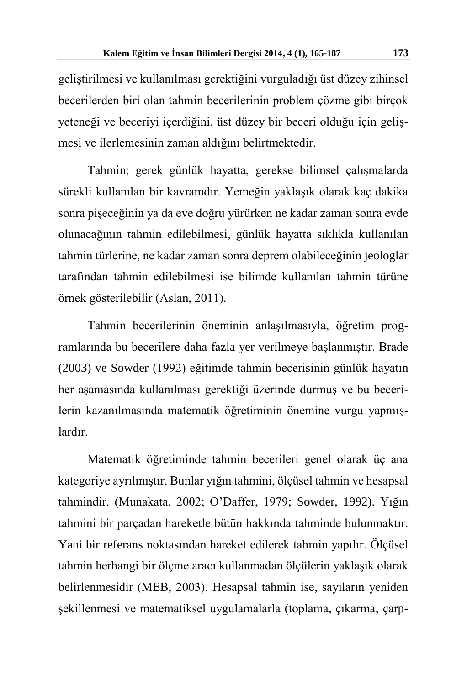geliştirilmesi ve kullanılması gerektiğini vurguladığı üst düzey zihinsel becerilerden biri olan tahmin becerilerinin problem çözme gibi birçok yeteneği ve beceriyi içerdiğini, üst düzey bir beceri olduğu için gelişmesi ve ilerlemesinin zaman aldığını belirtmektedir.

Tahmin; gerek günlük hayatta, gerekse bilimsel çalışmalarda sürekli kullanılan bir kavramdır. Yemeğin yaklaşık olarak kaç dakika sonra pişeceğinin ya da eve doğru yürürken ne kadar zaman sonra evde olunacağının tahmin edilebilmesi, günlük hayatta sıklıkla kullanılan tahmin türlerine, ne kadar zaman sonra deprem olabileceğinin jeologlar tarafından tahmin edilebilmesi ise bilimde kullanılan tahmin türüne örnek gösterilebilir (Aslan, 2011).

Tahmin becerilerinin öneminin anlaşılmasıyla, öğretim programlarında bu becerilere daha fazla yer verilmeye başlanmıştır. Brade (2003) ve Sowder (1992) eğitimde tahmin becerisinin günlük hayatın her aşamasında kullanılması gerektiği üzerinde durmuş ve bu becerilerin kazanılmasında matematik öğretiminin önemine vurgu yapmışlardır.

Matematik öğretiminde tahmin becerileri genel olarak üç ana kategoriye ayrılmıştır. Bunlar yığın tahmini, ölçüsel tahmin ve hesapsal tahmindir. (Munakata, 2002; O'Daffer, 1979; Sowder, 1992). Yığın tahmini bir parçadan hareketle bütün hakkında tahminde bulunmaktır. Yani bir referans noktasından hareket edilerek tahmin yapılır. Ölçüsel tahmin herhangi bir ölçme aracı kullanmadan ölçülerin yaklaşık olarak belirlenmesidir (MEB, 2003). Hesapsal tahmin ise, sayıların yeniden şekillenmesi ve matematiksel uygulamalarla (toplama, çıkarma, çarp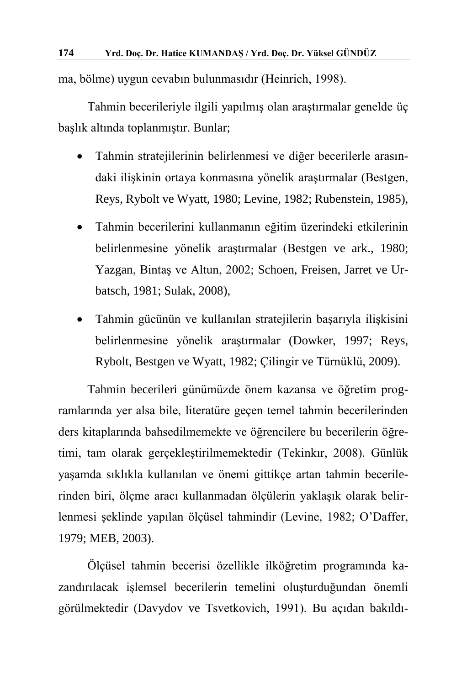ma, bölme) uygun cevabın bulunmasıdır (Heinrich, 1998).

Tahmin becerileriyle ilgili yapılmış olan araştırmalar genelde üç başlık altında toplanmıştır. Bunlar;

- Tahmin stratejilerinin belirlenmesi ve diğer becerilerle arasındaki ilişkinin ortaya konmasına yönelik araştırmalar (Bestgen, Reys, Rybolt ve Wyatt, 1980; Levine, 1982; Rubenstein, 1985),
- Tahmin becerilerini kullanmanın eğitim üzerindeki etkilerinin belirlenmesine yönelik araştırmalar (Bestgen ve ark., 1980; Yazgan, Bintaş ve Altun, 2002; Schoen, Freisen, Jarret ve Urbatsch, 1981; Sulak, 2008),
- Tahmin gücünün ve kullanılan stratejilerin başarıyla ilişkisini belirlenmesine yönelik araştırmalar (Dowker, 1997; Reys, Rybolt, Bestgen ve Wyatt, 1982; Çilingir ve Türnüklü, 2009).

Tahmin becerileri günümüzde önem kazansa ve öğretim programlarında yer alsa bile, literatüre geçen temel tahmin becerilerinden ders kitaplarında bahsedilmemekte ve öğrencilere bu becerilerin öğretimi, tam olarak gerçekleştirilmemektedir (Tekinkır, 2008). Günlük yaşamda sıklıkla kullanılan ve önemi gittikçe artan tahmin becerilerinden biri, ölçme aracı kullanmadan ölçülerin yaklaşık olarak belirlenmesi şeklinde yapılan ölçüsel tahmindir (Levine, 1982; O'Daffer, 1979; MEB, 2003).

Ölçüsel tahmin becerisi özellikle ilköğretim programında kazandırılacak işlemsel becerilerin temelini oluşturduğundan önemli görülmektedir (Davydov ve Tsvetkovich, 1991). Bu açıdan bakıldı-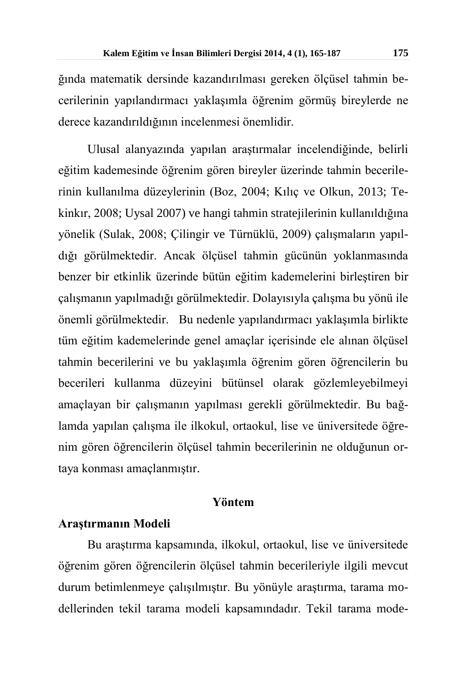ğında matematik dersinde kazandırılması gereken ölçüsel tahmin becerilerinin yapılandırmacı yaklaşımla öğrenim görmüş bireylerde ne derece kazandırıldığının incelenmesi önemlidir.

Ulusal alanyazında yapılan araştırmalar incelendiğinde, belirli eğitim kademesinde öğrenim gören bireyler üzerinde tahmin becerilerinin kullanılma düzeylerinin (Boz, 2004; Kılıç ve Olkun, 2013; Tekinkır, 2008; Uysal 2007) ve hangi tahmin stratejilerinin kullanıldığına yönelik (Sulak, 2008; Çilingir ve Türnüklü, 2009) çalışmaların yapıldığı görülmektedir. Ancak ölçüsel tahmin gücünün yoklanmasında benzer bir etkinlik üzerinde bütün eğitim kademelerini birleştiren bir çalışmanın yapılmadığı görülmektedir. Dolayısıyla çalışma bu yönü ile önemli görülmektedir. Bu nedenle yapılandırmacı yaklaşımla birlikte tüm eğitim kademelerinde genel amaçlar içerisinde ele alınan ölçüsel tahmin becerilerini ve bu yaklaşımla öğrenim gören öğrencilerin bu becerileri kullanma düzeyini bütünsel olarak gözlemleyebilmeyi amaçlayan bir çalışmanın yapılması gerekli görülmektedir. Bu bağlamda yapılan çalışma ile ilkokul, ortaokul, lise ve üniversitede öğrenim gören öğrencilerin ölçüsel tahmin becerilerinin ne olduğunun ortaya konması amaçlanmıştır.

#### **Yöntem**

#### **Araştırmanın Modeli**

Bu araştırma kapsamında, ilkokul, ortaokul, lise ve üniversitede öğrenim gören öğrencilerin ölçüsel tahmin becerileriyle ilgili mevcut durum betimlenmeye çalışılmıştır. Bu yönüyle araştırma, tarama modellerinden tekil tarama modeli kapsamındadır. Tekil tarama mode-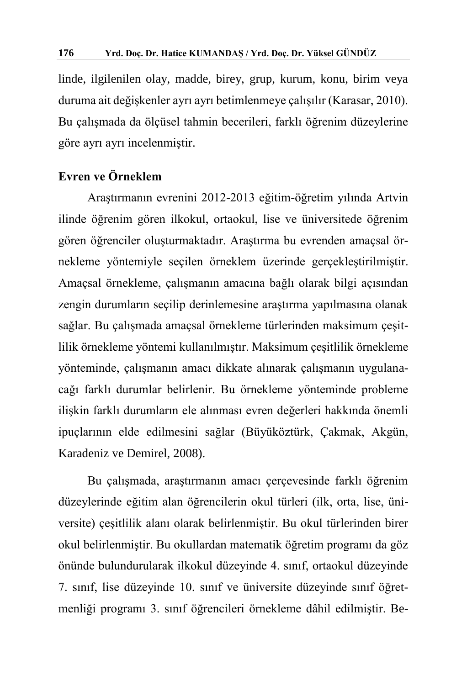linde, ilgilenilen olay, madde, birey, grup, kurum, konu, birim veya duruma ait değişkenler ayrı ayrı betimlenmeye çalışılır (Karasar, 2010). Bu çalışmada da ölçüsel tahmin becerileri, farklı öğrenim düzeylerine göre ayrı ayrı incelenmiştir.

# **Evren ve Örneklem**

Araştırmanın evrenini 2012-2013 eğitim-öğretim yılında Artvin ilinde öğrenim gören ilkokul, ortaokul, lise ve üniversitede öğrenim gören öğrenciler oluşturmaktadır. Araştırma bu evrenden amaçsal örnekleme yöntemiyle seçilen örneklem üzerinde gerçekleştirilmiştir. Amaçsal örnekleme, çalışmanın amacına bağlı olarak bilgi açısından zengin durumların seçilip derinlemesine araştırma yapılmasına olanak sağlar. Bu çalışmada amaçsal örnekleme türlerinden maksimum çeşitlilik örnekleme yöntemi kullanılmıştır. Maksimum çeşitlilik örnekleme yönteminde, çalışmanın amacı dikkate alınarak çalışmanın uygulanacağı farklı durumlar belirlenir. Bu örnekleme yönteminde probleme ilişkin farklı durumların ele alınması evren değerleri hakkında önemli ipuçlarının elde edilmesini sağlar (Büyüköztürk, Çakmak, Akgün, Karadeniz ve Demirel, 2008).

Bu çalışmada, araştırmanın amacı çerçevesinde farklı öğrenim düzeylerinde eğitim alan öğrencilerin okul türleri (ilk, orta, lise, üniversite) çeşitlilik alanı olarak belirlenmiştir. Bu okul türlerinden birer okul belirlenmiştir. Bu okullardan matematik öğretim programı da göz önünde bulundurularak ilkokul düzeyinde 4. sınıf, ortaokul düzeyinde 7. sınıf, lise düzeyinde 10. sınıf ve üniversite düzeyinde sınıf öğretmenliği programı 3. sınıf öğrencileri örnekleme dâhil edilmiştir. Be-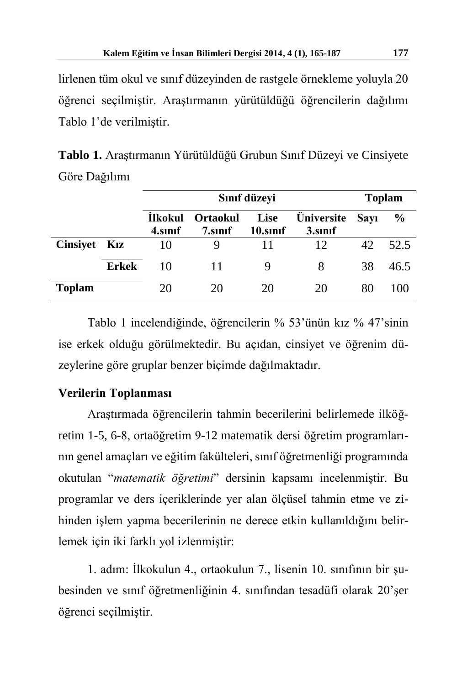lirlenen tüm okul ve sınıf düzeyinden de rastgele örnekleme yoluyla 20 öğrenci seçilmiştir. Araştırmanın yürütüldüğü öğrencilerin dağılımı Tablo 1'de verilmiştir.

**Tablo 1.** Araştırmanın Yürütüldüğü Grubun Sınıf Düzeyi ve Cinsiyete Göre Dağılımı

|               |              | Sınıf düzeyi              |                            |                         |                              |             | <b>Toplam</b> |  |
|---------------|--------------|---------------------------|----------------------------|-------------------------|------------------------------|-------------|---------------|--|
|               |              | <b>Ilkokul</b><br>4.sinif | <b>Ortaokul</b><br>7.sinif | <b>Lise</b><br>10.sinif | <b>Üniversite</b><br>3.sinif | <b>Sayı</b> | $\frac{6}{9}$ |  |
| Cinsiyet Kız  |              | 10                        | 9                          |                         | 12                           | 42          | 52.5          |  |
|               | <b>Erkek</b> | 10                        | 11                         | 9                       | 8                            | 38          | 46.5          |  |
| <b>Toplam</b> |              | 20                        | 20                         | 20                      | 20                           | 80          | 100           |  |

Tablo 1 incelendiğinde, öğrencilerin % 53'ünün kız % 47'sinin ise erkek olduğu görülmektedir. Bu açıdan, cinsiyet ve öğrenim düzeylerine göre gruplar benzer biçimde dağılmaktadır.

# **Verilerin Toplanması**

Araştırmada öğrencilerin tahmin becerilerini belirlemede ilköğretim 1-5, 6-8, ortaöğretim 9-12 matematik dersi öğretim programlarının genel amaçları ve eğitim fakülteleri, sınıf öğretmenliği programında okutulan "*matematik öğretimi*" dersinin kapsamı incelenmiştir. Bu programlar ve ders içeriklerinde yer alan ölçüsel tahmin etme ve zihinden işlem yapma becerilerinin ne derece etkin kullanıldığını belirlemek için iki farklı yol izlenmiştir:

1. adım: İlkokulun 4., ortaokulun 7., lisenin 10. sınıfının bir şubesinden ve sınıf öğretmenliğinin 4. sınıfından tesadüfi olarak 20'şer öğrenci seçilmiştir.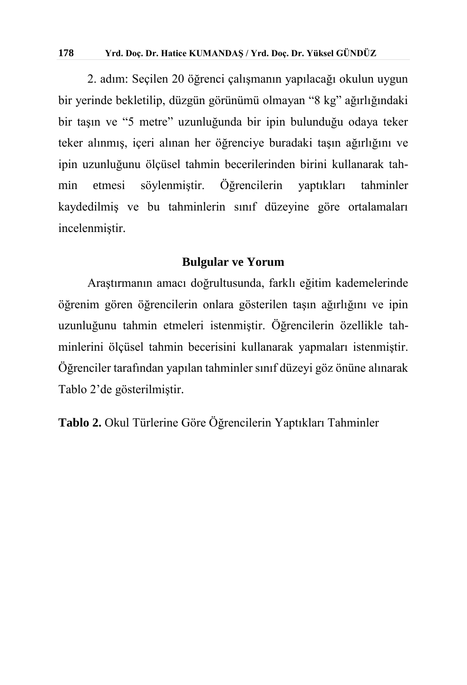#### **178 Yrd. Doç. Dr. Hatice KUMANDAŞ / Yrd. Doç. Dr. Yüksel GÜNDÜZ**

2. adım: Seçilen 20 öğrenci çalışmanın yapılacağı okulun uygun bir yerinde bekletilip, düzgün görünümü olmayan "8 kg" ağırlığındaki bir taşın ve "5 metre" uzunluğunda bir ipin bulunduğu odaya teker teker alınmış, içeri alınan her öğrenciye buradaki taşın ağırlığını ve ipin uzunluğunu ölçüsel tahmin becerilerinden birini kullanarak tahmin etmesi söylenmiştir. Öğrencilerin yaptıkları tahminler kaydedilmiş ve bu tahminlerin sınıf düzeyine göre ortalamaları incelenmiştir.

#### **Bulgular ve Yorum**

Araştırmanın amacı doğrultusunda, farklı eğitim kademelerinde öğrenim gören öğrencilerin onlara gösterilen taşın ağırlığını ve ipin uzunluğunu tahmin etmeleri istenmiştir. Öğrencilerin özellikle tahminlerini ölçüsel tahmin becerisini kullanarak yapmaları istenmiştir. Öğrenciler tarafından yapılan tahminler sınıf düzeyi göz önüne alınarak Tablo 2'de gösterilmiştir.

**Tablo 2.** Okul Türlerine Göre Öğrencilerin Yaptıkları Tahminler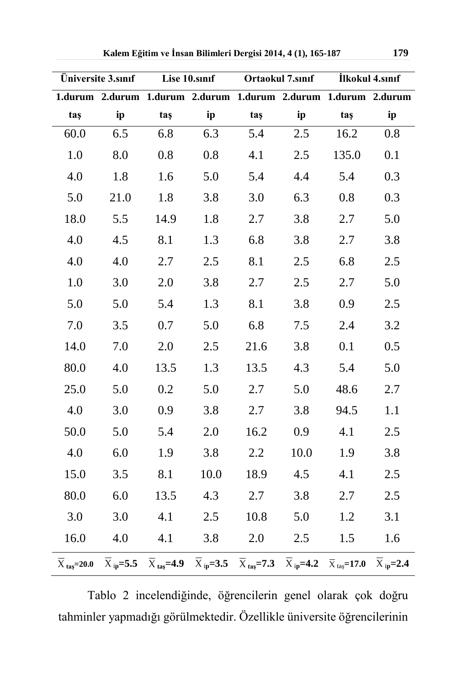| Üniversite 3.sinif |      | Lise 10.smf |                                                                                                                                                                                                                                                                      | Ortaokul 7.sinif |      | İlkokul 4.sınıf  |       |
|--------------------|------|-------------|----------------------------------------------------------------------------------------------------------------------------------------------------------------------------------------------------------------------------------------------------------------------|------------------|------|------------------|-------|
|                    |      |             | 1.durum 2.durum 1.durum 2.durum 1.durum 2.durum 1.durum 2.durum                                                                                                                                                                                                      |                  |      |                  |       |
| taş                | ip   | taş         | ip                                                                                                                                                                                                                                                                   | taş              | ip   | taş              | ip    |
| 60.0               | 6.5  | 6.8         | 6.3                                                                                                                                                                                                                                                                  | 5.4              | 2.5  | 16.2             | 0.8   |
| 1.0                | 8.0  | 0.8         | 0.8                                                                                                                                                                                                                                                                  | 4.1              | 2.5  | 135.0            | 0.1   |
| 4.0                | 1.8  | 1.6         | 5.0                                                                                                                                                                                                                                                                  | 5.4              | 4.4  | 5.4              | 0.3   |
| 5.0                | 21.0 | 1.8         | 3.8                                                                                                                                                                                                                                                                  | 3.0              | 6.3  | 0.8              | 0.3   |
| 18.0               | 5.5  | 14.9        | 1.8                                                                                                                                                                                                                                                                  | 2.7              | 3.8  | 2.7              | 5.0   |
| 4.0                | 4.5  | 8.1         | 1.3                                                                                                                                                                                                                                                                  | 6.8              | 3.8  | 2.7              | 3.8   |
| 4.0                | 4.0  | 2.7         | 2.5                                                                                                                                                                                                                                                                  | 8.1              | 2.5  | 6.8              | 2.5   |
| $1.0\,$            | 3.0  | 2.0         | 3.8                                                                                                                                                                                                                                                                  | 2.7              | 2.5  | 2.7              | 5.0   |
| 5.0                | 5.0  | 5.4         | 1.3                                                                                                                                                                                                                                                                  | 8.1              | 3.8  | 0.9 <sub>o</sub> | $2.5$ |
| 7.0                | 3.5  | 0.7         | 5.0                                                                                                                                                                                                                                                                  | 6.8              | 7.5  | 2.4              | 3.2   |
| 14.0               | 7.0  | 2.0         | 2.5                                                                                                                                                                                                                                                                  | 21.6             | 3.8  | 0.1              | 0.5   |
| 80.0               | 4.0  | 13.5        | 1.3                                                                                                                                                                                                                                                                  | 13.5             | 4.3  | 5.4              | 5.0   |
| 25.0               | 5.0  | 0.2         | 5.0                                                                                                                                                                                                                                                                  | 2.7              | 5.0  | 48.6             | 2.7   |
| 4.0                | 3.0  | 0.9         | 3.8                                                                                                                                                                                                                                                                  | 2.7              | 3.8  | 94.5             | 1.1   |
| 50.0               | 5.0  | 5.4         | 2.0                                                                                                                                                                                                                                                                  | 16.2             | 0.9  | 4.1              | 2.5   |
| 4.0                | 6.0  | 1.9         | 3.8                                                                                                                                                                                                                                                                  | $2.2\,$          | 10.0 | 1.9              | 3.8   |
| 15.0               | 3.5  | 8.1         | 10.0                                                                                                                                                                                                                                                                 | 18.9             | 4.5  | 4.1              | 2.5   |
| 80.0               | 6.0  | 13.5        | 4.3                                                                                                                                                                                                                                                                  | 2.7              | 3.8  | 2.7              | 2.5   |
| 3.0                | 3.0  | 4.1         | 2.5                                                                                                                                                                                                                                                                  | 10.8             | 5.0  | 1.2              | 3.1   |
| 16.0               | 4.0  | 4.1         | 3.8                                                                                                                                                                                                                                                                  | 2.0              | 2.5  | 1.5              | 1.6   |
|                    |      |             | $\overline{X}_{\text{tas}}=20.0$ $\overline{X}_{\text{ ip}}=5.5$ $\overline{X}_{\text{ tas}}=4.9$ $\overline{X}_{\text{ ip}}=3.5$ $\overline{X}_{\text{ tas}}=7.3$ $\overline{X}_{\text{ ip}}=4.2$ $\overline{X}_{\text{ tas}}=17.0$ $\overline{X}_{\text{ ip}}=2.4$ |                  |      |                  |       |

Tablo 2 incelendiğinde, öğrencilerin genel olarak çok doğru tahminler yapmadığı görülmektedir. Özellikle üniversite öğrencilerinin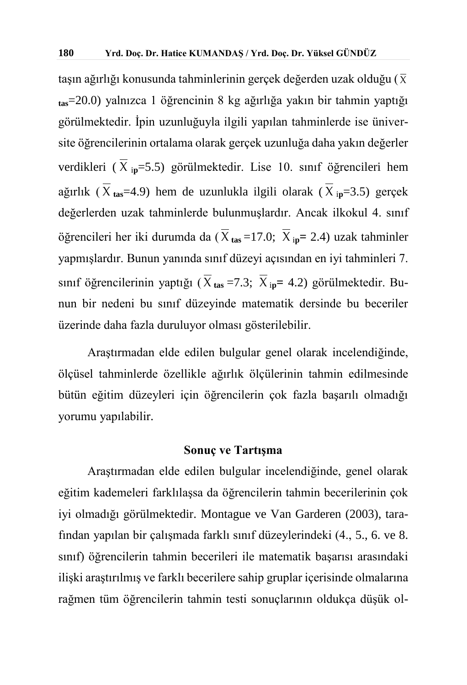taşın ağırlığı konusunda tahminlerinin gerçek değerden uzak olduğu ( $\overline{\chi}$ **tas**=20.0) yalnızca 1 öğrencinin 8 kg ağırlığa yakın bir tahmin yaptığı görülmektedir. İpin uzunluğuyla ilgili yapılan tahminlerde ise üniversite öğrencilerinin ortalama olarak gerçek uzunluğa daha yakın değerler verdikleri ( Χ <sup>i</sup>**p**=5.5) görülmektedir. Lise 10. sınıf öğrencileri hem ağırlık ( Χ **tas**=4.9) hem de uzunlukla ilgili olarak ( Χ <sup>i</sup>**p**=3.5) gerçek değerlerden uzak tahminlerde bulunmuşlardır. Ancak ilkokul 4. sınıf öğrencileri her iki durumda da ( Χ **tas** =17.0; Χ <sup>i</sup>**p=** 2.4) uzak tahminler yapmışlardır. Bunun yanında sınıf düzeyi açısından en iyi tahminleri 7. sınıf öğrencilerinin yaptığı ( Χ **tas** =7.3; Χ <sup>i</sup>**p=** 4.2) görülmektedir. Bunun bir nedeni bu sınıf düzeyinde matematik dersinde bu beceriler üzerinde daha fazla duruluyor olması gösterilebilir.

Araştırmadan elde edilen bulgular genel olarak incelendiğinde, ölçüsel tahminlerde özellikle ağırlık ölçülerinin tahmin edilmesinde bütün eğitim düzeyleri için öğrencilerin çok fazla başarılı olmadığı yorumu yapılabilir.

#### **Sonuç ve Tartışma**

Araştırmadan elde edilen bulgular incelendiğinde, genel olarak eğitim kademeleri farklılaşsa da öğrencilerin tahmin becerilerinin çok iyi olmadığı görülmektedir. Montague ve Van Garderen (2003), tarafından yapılan bir çalışmada farklı sınıf düzeylerindeki (4., 5., 6. ve 8. sınıf) öğrencilerin tahmin becerileri ile matematik başarısı arasındaki ilişki araştırılmış ve farklı becerilere sahip gruplar içerisinde olmalarına rağmen tüm öğrencilerin tahmin testi sonuçlarının oldukça düşük ol-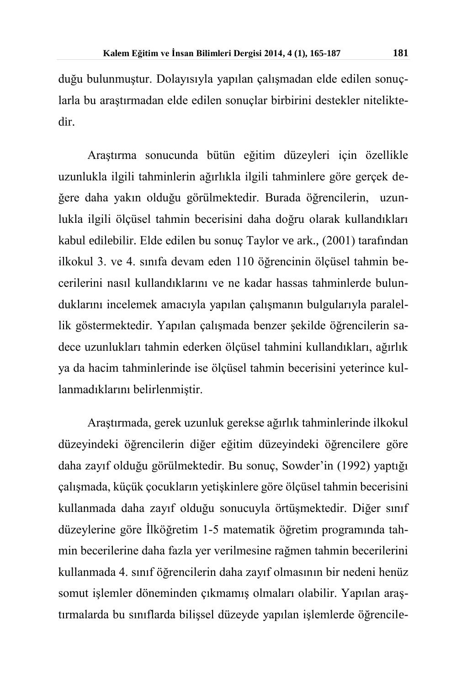duğu bulunmuştur. Dolayısıyla yapılan çalışmadan elde edilen sonuçlarla bu araştırmadan elde edilen sonuçlar birbirini destekler niteliktedir.

Araştırma sonucunda bütün eğitim düzeyleri için özellikle uzunlukla ilgili tahminlerin ağırlıkla ilgili tahminlere göre gerçek değere daha yakın olduğu görülmektedir. Burada öğrencilerin, uzunlukla ilgili ölçüsel tahmin becerisini daha doğru olarak kullandıkları kabul edilebilir. Elde edilen bu sonuç Taylor ve ark., (2001) tarafından ilkokul 3. ve 4. sınıfa devam eden 110 öğrencinin ölçüsel tahmin becerilerini nasıl kullandıklarını ve ne kadar hassas tahminlerde bulunduklarını incelemek amacıyla yapılan çalışmanın bulgularıyla paralellik göstermektedir. Yapılan çalışmada benzer şekilde öğrencilerin sadece uzunlukları tahmin ederken ölçüsel tahmini kullandıkları, ağırlık ya da hacim tahminlerinde ise ölçüsel tahmin becerisini yeterince kullanmadıklarını belirlenmiştir.

Araştırmada, gerek uzunluk gerekse ağırlık tahminlerinde ilkokul düzeyindeki öğrencilerin diğer eğitim düzeyindeki öğrencilere göre daha zayıf olduğu görülmektedir. Bu sonuç, Sowder'in (1992) yaptığı çalışmada, küçük çocukların yetişkinlere göre ölçüsel tahmin becerisini kullanmada daha zayıf olduğu sonucuyla örtüşmektedir. Diğer sınıf düzeylerine göre İlköğretim 1-5 matematik öğretim programında tahmin becerilerine daha fazla yer verilmesine rağmen tahmin becerilerini kullanmada 4. sınıf öğrencilerin daha zayıf olmasının bir nedeni henüz somut işlemler döneminden çıkmamış olmaları olabilir. Yapılan araştırmalarda bu sınıflarda bilişsel düzeyde yapılan işlemlerde öğrencile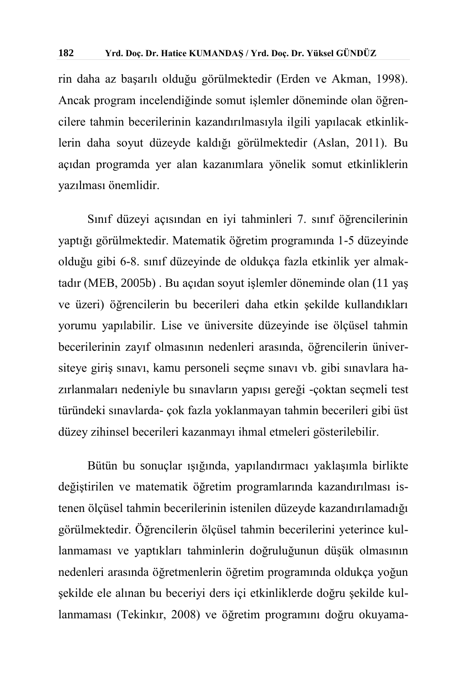rin daha az başarılı olduğu görülmektedir (Erden ve Akman, 1998). Ancak program incelendiğinde somut işlemler döneminde olan öğrencilere tahmin becerilerinin kazandırılmasıyla ilgili yapılacak etkinliklerin daha soyut düzeyde kaldığı görülmektedir (Aslan, 2011). Bu açıdan programda yer alan kazanımlara yönelik somut etkinliklerin yazılması önemlidir.

Sınıf düzeyi açısından en iyi tahminleri 7. sınıf öğrencilerinin yaptığı görülmektedir. Matematik öğretim programında 1-5 düzeyinde olduğu gibi 6-8. sınıf düzeyinde de oldukça fazla etkinlik yer almaktadır (MEB, 2005b) . Bu açıdan soyut işlemler döneminde olan (11 yaş ve üzeri) öğrencilerin bu becerileri daha etkin şekilde kullandıkları yorumu yapılabilir. Lise ve üniversite düzeyinde ise ölçüsel tahmin becerilerinin zayıf olmasının nedenleri arasında, öğrencilerin üniversiteye giriş sınavı, kamu personeli seçme sınavı vb. gibi sınavlara hazırlanmaları nedeniyle bu sınavların yapısı gereği -çoktan seçmeli test türündeki sınavlarda- çok fazla yoklanmayan tahmin becerileri gibi üst düzey zihinsel becerileri kazanmayı ihmal etmeleri gösterilebilir.

Bütün bu sonuçlar ışığında, yapılandırmacı yaklaşımla birlikte değiştirilen ve matematik öğretim programlarında kazandırılması istenen ölçüsel tahmin becerilerinin istenilen düzeyde kazandırılamadığı görülmektedir. Öğrencilerin ölçüsel tahmin becerilerini yeterince kullanmaması ve yaptıkları tahminlerin doğruluğunun düşük olmasının nedenleri arasında öğretmenlerin öğretim programında oldukça yoğun şekilde ele alınan bu beceriyi ders içi etkinliklerde doğru şekilde kullanmaması (Tekinkır, 2008) ve öğretim programını doğru okuyama-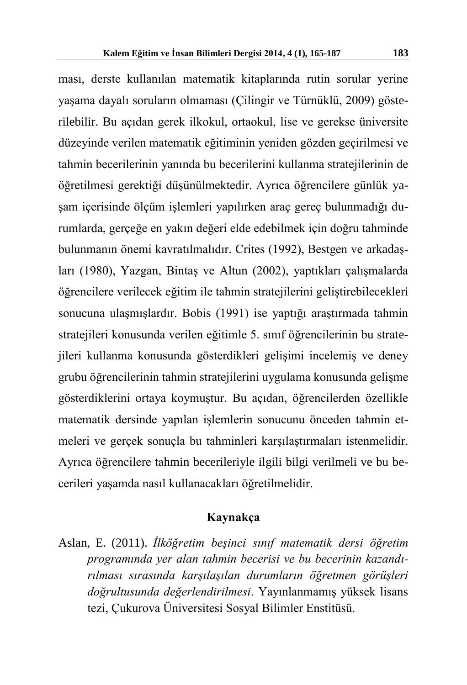ması, derste kullanılan matematik kitaplarında rutin sorular yerine yaşama dayalı soruların olmaması (Çilingir ve Türnüklü, 2009) gösterilebilir. Bu açıdan gerek ilkokul, ortaokul, lise ve gerekse üniversite düzeyinde verilen matematik eğitiminin yeniden gözden geçirilmesi ve tahmin becerilerinin yanında bu becerilerini kullanma stratejilerinin de öğretilmesi gerektiği düşünülmektedir. Ayrıca öğrencilere günlük yaşam içerisinde ölçüm işlemleri yapılırken araç gereç bulunmadığı durumlarda, gerçeğe en yakın değeri elde edebilmek için doğru tahminde bulunmanın önemi kavratılmalıdır. Crites (1992), Bestgen ve arkadaşları (1980), Yazgan, Bintaş ve Altun (2002), yaptıkları çalışmalarda öğrencilere verilecek eğitim ile tahmin stratejilerini geliştirebilecekleri sonucuna ulaşmışlardır. Bobis (1991) ise yaptığı araştırmada tahmin stratejileri konusunda verilen eğitimle 5. sınıf öğrencilerinin bu stratejileri kullanma konusunda gösterdikleri gelişimi incelemiş ve deney grubu öğrencilerinin tahmin stratejilerini uygulama konusunda gelişme gösterdiklerini ortaya koymuştur. Bu açıdan, öğrencilerden özellikle matematik dersinde yapılan işlemlerin sonucunu önceden tahmin etmeleri ve gerçek sonuçla bu tahminleri karşılaştırmaları istenmelidir. Ayrıca öğrencilere tahmin becerileriyle ilgili bilgi verilmeli ve bu becerileri yaşamda nasıl kullanacakları öğretilmelidir.

#### **Kaynakça**

Aslan, E. (2011). *İlköğretim beşinci sınıf matematik dersi öğretim programında yer alan tahmin becerisi ve bu becerinin kazandırılması sırasında karşılaşılan durumların öğretmen görüşleri doğrultusunda değerlendirilmesi*. Yayınlanmamış yüksek lisans tezi, Çukurova Üniversitesi Sosyal Bilimler Enstitüsü.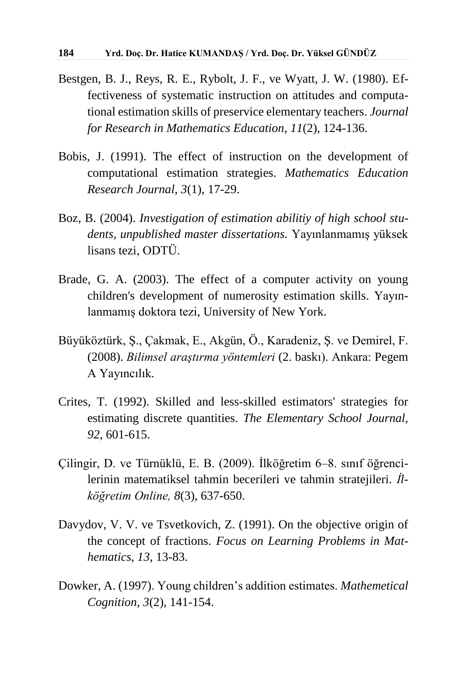- Bestgen, B. J., Reys, R. E., Rybolt, J. F., ve Wyatt, J. W. (1980). Effectiveness of systematic instruction on attitudes and computational estimation skills of preservice elementary teachers. *Journal for Research in Mathematics Education*, *11*(2), 124-136.
- Bobis, J. (1991). The effect of instruction on the development of computational estimation strategies. *Mathematics Education Research Journal*, *3*(1), 17-29.
- Boz, B. (2004). *Investigation of estimation abilitiy of high school students, unpublished master dissertations.* Yayınlanmamış yüksek lisans tezi, ODTÜ.
- Brade, G. A. (2003). The effect of a computer activity on young children's development of numerosity estimation skills. Yayınlanmamış doktora tezi, University of New York.
- Büyüköztürk, Ş., Çakmak, E., Akgün, Ö., Karadeniz, Ş. ve Demirel, F. (2008). *Bilimsel araştırma yöntemleri* (2. baskı). Ankara: Pegem A Yayıncılık*.*
- Crites, T. (1992). Skilled and less-skilled estimators' strategies for estimating discrete quantities. *The Elementary School Journal, 92*, 601-615.
- Çilingir, D. ve Türnüklü, E. B. (2009). İlköğretim 6–8. sınıf öğrencilerinin matematiksel tahmin becerileri ve tahmin stratejileri. *İlköğretim Online, 8*(3), 637-650.
- Davydov, V. V. ve Tsvetkovich, Z. (1991). On the objective origin of the concept of fractions. *Focus on Learning Problems in Mathematics*, *13*, 13-83.
- Dowker, A. (1997). Young children's addition estimates. *Mathemetical Cognition, 3*(2), 141-154.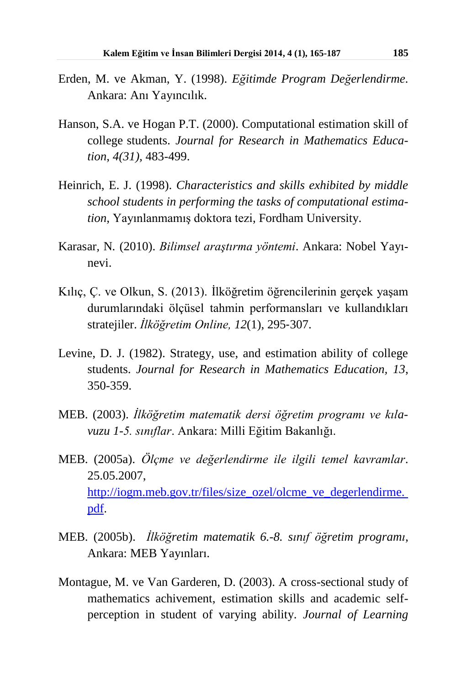- Erden, M. ve Akman, Y. (1998). *Eğitimde Program Değerlendirme*. Ankara: Anı Yayıncılık.
- Hanson, S.A. ve Hogan P.T. (2000). Computational estimation skill of college students. *Journal for Research in Mathematics Education*, *4(31),* 483-499.
- Heinrich, E. J. (1998). *Characteristics and skills exhibited by middle school students in performing the tasks of computational estimation*, Yayınlanmamış doktora tezi, Fordham University.
- Karasar*,* N*.* (2010). *Bilimsel araştırma yöntemi*. Ankara: Nobel Yayınevi.
- Kılıç, Ç. ve Olkun, S. (2013). İlköğretim öğrencilerinin gerçek yaşam durumlarındaki ölçüsel tahmin performansları ve kullandıkları stratejiler. *İlköğretim Online, 12*(1), 295‐307.
- Levine, D. J. (1982). Strategy, use, and estimation ability of college students. *Journal for Research in Mathematics Education, 13*, 350-359.
- MEB. (2003). *İlköğretim matematik dersi öğretim programı ve kılavuzu 1-5. sınıflar*. Ankara: Milli Eğitim Bakanlığı.
- MEB. (2005a). *Ölçme ve değerlendirme ile ilgili temel kavramlar*. 25.05.2007, [http://iogm.meb.gov.tr/files/size\\_ozel/olcme\\_ve\\_degerlendirme.](http://iogm.meb.gov.tr/files/size_ozel/olcme_ve_degerlendirme. pdf) [pdf.](http://iogm.meb.gov.tr/files/size_ozel/olcme_ve_degerlendirme. pdf)
- MEB. (2005b). *İlköğretim matematik 6.-8. sınıf öğretim programı,*  Ankara: MEB Yayınları.
- Montague, M. ve Van Garderen, D. (2003). A cross-sectional study of mathematics achivement, estimation skills and academic selfperception in student of varying ability. *Journal of Learning*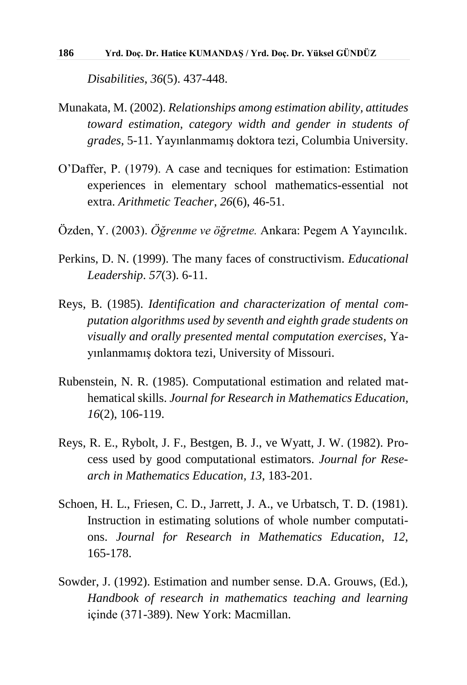*Disabilities*, *36*(5). 437-448.

- Munakata, M. (2002). *Relationships among estimation ability, attitudes toward estimation, category width and gender in students of grades,* 5-11*.* Yayınlanmamış doktora tezi, Columbia University.
- O'Daffer, P. (1979). A case and tecniques for estimation: Estimation experiences in elementary school mathematics-essential not extra. *Arithmetic Teacher*, *26*(6), 46-51.
- Özden, Y. (2003). *Öğrenme ve öğretme.* Ankara: Pegem A Yayıncılık.
- Perkins, D. N. (1999). The many faces of constructivism. *Educational Leadership*. *57*(3). 6-11.
- Reys, B. (1985). *Identification and characterization of mental computation algorithms used by seventh and eighth grade students on visually and orally presented mental computation exercises*, Yayınlanmamış doktora tezi, University of Missouri.
- Rubenstein, N. R. (1985). Computational estimation and related mathematical skills. *Journal for Research in Mathematics Education, 16*(2), 106-119.
- Reys, R. E., Rybolt, J. F., Bestgen, B. J., ve Wyatt, J. W. (1982). Process used by good computational estimators. *Journal for Research in Mathematics Education, 13*, 183-201.
- Schoen, H. L., Friesen, C. D., Jarrett, J. A., ve Urbatsch, T. D. (1981). Instruction in estimating solutions of whole number computations. *Journal for Research in Mathematics Education*, *12*, 165-178.
- Sowder, J. (1992). Estimation and number sense. D.A. Grouws, (Ed.), *Handbook of research in mathematics teaching and learning* içinde (371-389). New York: Macmillan.